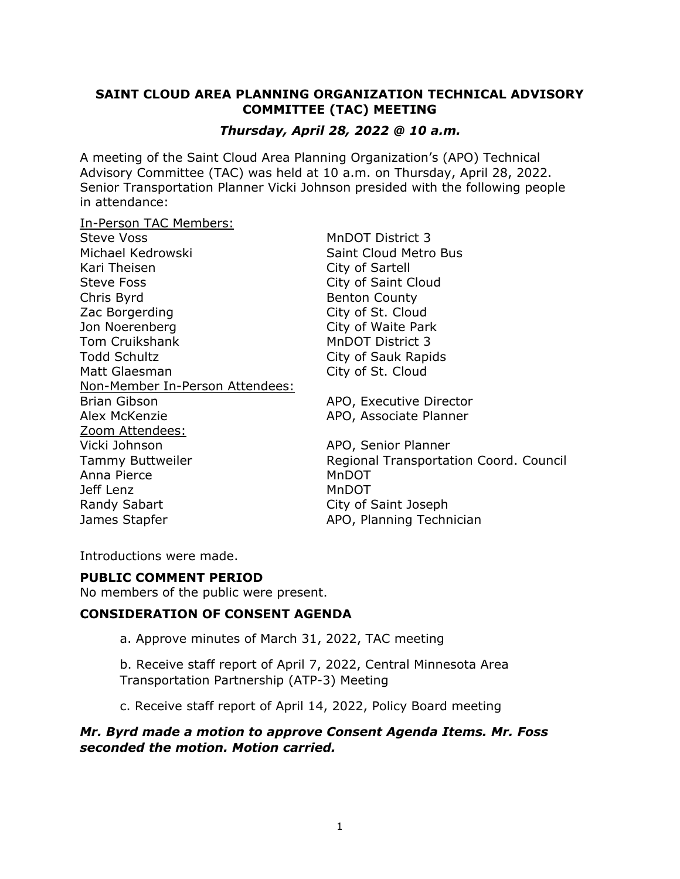## **SAINT CLOUD AREA PLANNING ORGANIZATION TECHNICAL ADVISORY COMMITTEE (TAC) MEETING**

# *Thursday, April 28, 2022 @ 10 a.m.*

A meeting of the Saint Cloud Area Planning Organization's (APO) Technical Advisory Committee (TAC) was held at 10 a.m. on Thursday, April 28, 2022. Senior Transportation Planner Vicki Johnson presided with the following people in attendance:

In-Person TAC Members:

| Steve Voss                             |
|----------------------------------------|
| Michael Kedrowski                      |
| Kari Theisen                           |
| <b>Steve Foss</b>                      |
| Chris Byrd                             |
| Zac Borgerding                         |
| Jon Noerenberg                         |
| Tom Cruikshank                         |
| Todd Schultz                           |
| Matt Glaesman                          |
| <u>Non-Member In-Person Attendees:</u> |
| Brian Gibson                           |
| Alex McKenzie                          |
| Zoom Attendees:                        |
| Vicki Johnson                          |
| <b>Tammy Buttweiler</b>                |
| Anna Pierce                            |
| Jeff Lenz                              |
| <b>Randy Sabart</b>                    |
| James Stapfer                          |

MnDOT District 3 Saint Cloud Metro Bus City of Sartell City of Saint Cloud Benton County City of St. Cloud City of Waite Park **MnDOT District 3** City of Sauk Rapids City of St. Cloud

APO, Executive Director APO, Associate Planner

APO, Senior Planner Regional Transportation Coord. Council MnDOT MnDOT City of Saint Joseph APO, Planning Technician

Introductions were made.

## **PUBLIC COMMENT PERIOD**

No members of the public were present.

## **CONSIDERATION OF CONSENT AGENDA**

a. Approve minutes of March 31, 2022, TAC meeting

b. Receive staff report of April 7, 2022, Central Minnesota Area Transportation Partnership (ATP-3) Meeting

c. Receive staff report of April 14, 2022, Policy Board meeting

## *Mr. Byrd made a motion to approve Consent Agenda Items. Mr. Foss seconded the motion. Motion carried.*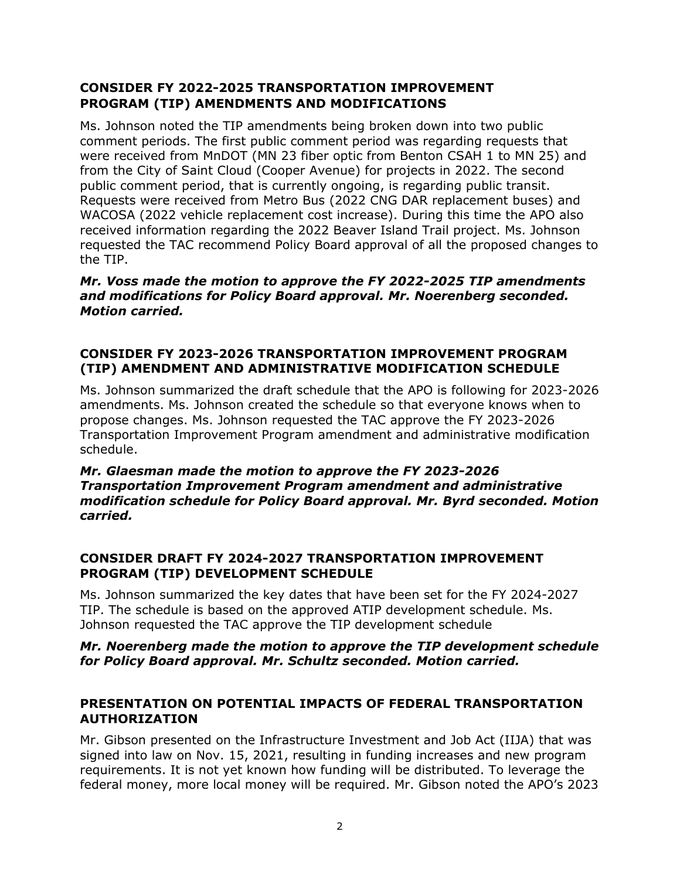# **CONSIDER FY 2022-2025 TRANSPORTATION IMPROVEMENT PROGRAM (TIP) AMENDMENTS AND MODIFICATIONS**

Ms. Johnson noted the TIP amendments being broken down into two public comment periods. The first public comment period was regarding requests that were received from MnDOT (MN 23 fiber optic from Benton CSAH 1 to MN 25) and from the City of Saint Cloud (Cooper Avenue) for projects in 2022. The second public comment period, that is currently ongoing, is regarding public transit. Requests were received from Metro Bus (2022 CNG DAR replacement buses) and WACOSA (2022 vehicle replacement cost increase). During this time the APO also received information regarding the 2022 Beaver Island Trail project. Ms. Johnson requested the TAC recommend Policy Board approval of all the proposed changes to the TIP.

## *Mr. Voss made the motion to approve the FY 2022-2025 TIP amendments and modifications for Policy Board approval. Mr. Noerenberg seconded. Motion carried.*

# **CONSIDER FY 2023-2026 TRANSPORTATION IMPROVEMENT PROGRAM (TIP) AMENDMENT AND ADMINISTRATIVE MODIFICATION SCHEDULE**

Ms. Johnson summarized the draft schedule that the APO is following for 2023-2026 amendments. Ms. Johnson created the schedule so that everyone knows when to propose changes. Ms. Johnson requested the TAC approve the FY 2023-2026 Transportation Improvement Program amendment and administrative modification schedule.

#### *Mr. Glaesman made the motion to approve the FY 2023-2026 Transportation Improvement Program amendment and administrative modification schedule for Policy Board approval. Mr. Byrd seconded. Motion carried.*

# **CONSIDER DRAFT FY 2024-2027 TRANSPORTATION IMPROVEMENT PROGRAM (TIP) DEVELOPMENT SCHEDULE**

Ms. Johnson summarized the key dates that have been set for the FY 2024-2027 TIP. The schedule is based on the approved ATIP development schedule. Ms. Johnson requested the TAC approve the TIP development schedule

### *Mr. Noerenberg made the motion to approve the TIP development schedule for Policy Board approval. Mr. Schultz seconded. Motion carried.*

### **PRESENTATION ON POTENTIAL IMPACTS OF FEDERAL TRANSPORTATION AUTHORIZATION**

Mr. Gibson presented on the Infrastructure Investment and Job Act (IIJA) that was signed into law on Nov. 15, 2021, resulting in funding increases and new program requirements. It is not yet known how funding will be distributed. To leverage the federal money, more local money will be required. Mr. Gibson noted the APO's 2023